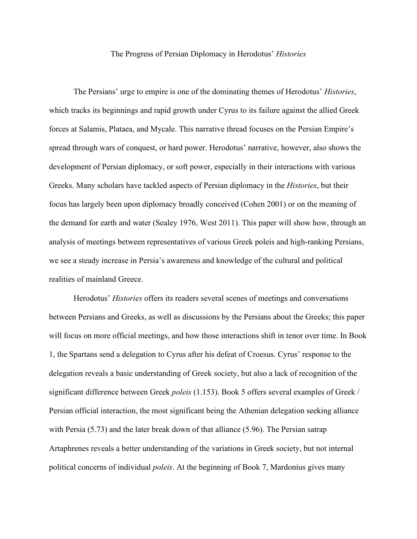## The Progress of Persian Diplomacy in Herodotus' *Histories*

The Persians' urge to empire is one of the dominating themes of Herodotus' *Histories*, which tracks its beginnings and rapid growth under Cyrus to its failure against the allied Greek forces at Salamis, Plataea, and Mycale. This narrative thread focuses on the Persian Empire's spread through wars of conquest, or hard power. Herodotus' narrative, however, also shows the development of Persian diplomacy, or soft power, especially in their interactions with various Greeks. Many scholars have tackled aspects of Persian diplomacy in the *Histories*, but their focus has largely been upon diplomacy broadly conceived (Cohen 2001) or on the meaning of the demand for earth and water (Sealey 1976, West 2011). This paper will show how, through an analysis of meetings between representatives of various Greek poleis and high-ranking Persians, we see a steady increase in Persia's awareness and knowledge of the cultural and political realities of mainland Greece.

Herodotus' *Histories* offers its readers several scenes of meetings and conversations between Persians and Greeks, as well as discussions by the Persians about the Greeks; this paper will focus on more official meetings, and how those interactions shift in tenor over time. In Book 1, the Spartans send a delegation to Cyrus after his defeat of Croesus. Cyrus' response to the delegation reveals a basic understanding of Greek society, but also a lack of recognition of the significant difference between Greek *poleis* (1.153). Book 5 offers several examples of Greek / Persian official interaction, the most significant being the Athenian delegation seeking alliance with Persia (5.73) and the later break down of that alliance (5.96). The Persian satrap Artaphrenes reveals a better understanding of the variations in Greek society, but not internal political concerns of individual *poleis*. At the beginning of Book 7, Mardonius gives many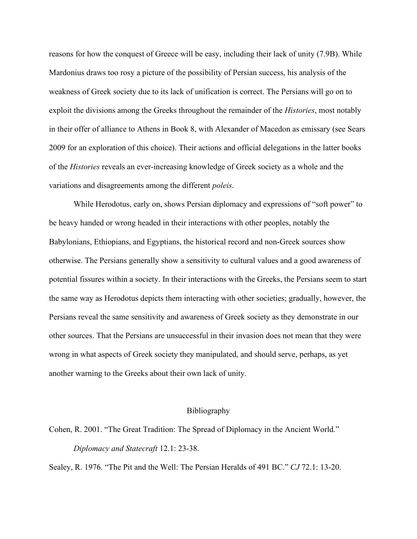reasons for how the conquest of Greece will be easy, including their lack of unity (7.9B). While Mardonius draws too rosy a picture of the possibility of Persian success, his analysis of the weakness of Greek society due to its lack of unification is correct. The Persians will go on to exploit the divisions among the Greeks throughout the remainder of the *Histories*, most notably in their offer of alliance to Athens in Book 8, with Alexander of Macedon as emissary (see Sears 2009 for an exploration of this choice). Their actions and official delegations in the latter books of the *Histories* reveals an ever-increasing knowledge of Greek society as a whole and the variations and disagreements among the different *poleis*.

While Herodotus, early on, shows Persian diplomacy and expressions of "soft power" to be heavy handed or wrong headed in their interactions with other peoples, notably the Babylonians, Ethiopians, and Egyptians, the historical record and non-Greek sources show otherwise. The Persians generally show a sensitivity to cultural values and a good awareness of potential fissures within a society. In their interactions with the Greeks, the Persians seem to start the same way as Herodotus depicts them interacting with other societies; gradually, however, the Persians reveal the same sensitivity and awareness of Greek society as they demonstrate in our other sources. That the Persians are unsuccessful in their invasion does not mean that they were wrong in what aspects of Greek society they manipulated, and should serve, perhaps, as yet another warning to the Greeks about their own lack of unity.

## Bibliography

Cohen, R. 2001. "The Great Tradition: The Spread of Diplomacy in the Ancient World." *Diplomacy and Statecraft* 12.1: 23-38.

Sealey, R. 1976. "The Pit and the Well: The Persian Heralds of 491 BC." *CJ* 72.1: 13-20.